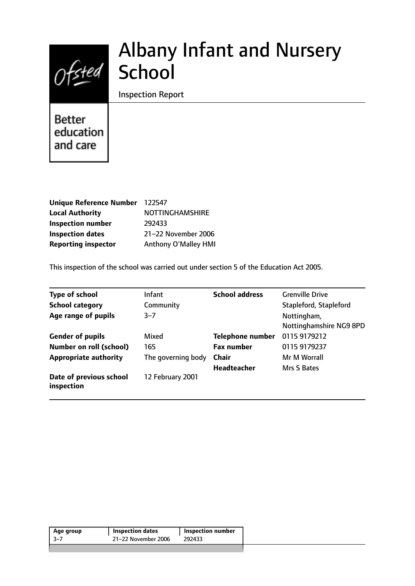# Ofsted School

## Albany Infant and Nursery

Inspection Report

**Better** education and care

| Unique Reference Number 122547 |                        |
|--------------------------------|------------------------|
| <b>Local Authority</b>         | <b>NOTTINGHAMSHIRE</b> |
| <b>Inspection number</b>       | 292433                 |
| <b>Inspection dates</b>        | 21-22 November 2006    |
| <b>Reporting inspector</b>     | Anthony O'Malley HMI   |

This inspection of the school was carried out under section 5 of the Education Act 2005.

| <b>Type of school</b>                 | <b>Infant</b>      | <b>School address</b>   | <b>Grenville Drive</b>                 |
|---------------------------------------|--------------------|-------------------------|----------------------------------------|
| <b>School category</b>                | Community          |                         | Stapleford, Stapleford                 |
| Age range of pupils                   | $3 - 7$            |                         | Nottingham,<br>Nottinghamshire NG9 8PD |
| <b>Gender of pupils</b>               | Mixed              | <b>Telephone number</b> | 0115 9179212                           |
| <b>Number on roll (school)</b>        | 165                | <b>Fax number</b>       | 0115 9179237                           |
| <b>Appropriate authority</b>          | The governing body | <b>Chair</b>            | Mr M Worrall                           |
|                                       |                    | <b>Headteacher</b>      | Mrs S Bates                            |
| Date of previous school<br>inspection | 12 February 2001   |                         |                                        |

| 21-22 November 2006<br>-3–7<br>292433 | Age group | <b>Inspection dates</b> | <b>Inspection number</b> |  |
|---------------------------------------|-----------|-------------------------|--------------------------|--|
|                                       |           |                         |                          |  |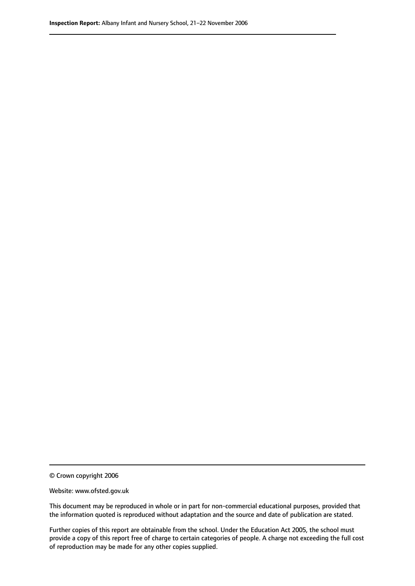© Crown copyright 2006

Website: www.ofsted.gov.uk

This document may be reproduced in whole or in part for non-commercial educational purposes, provided that the information quoted is reproduced without adaptation and the source and date of publication are stated.

Further copies of this report are obtainable from the school. Under the Education Act 2005, the school must provide a copy of this report free of charge to certain categories of people. A charge not exceeding the full cost of reproduction may be made for any other copies supplied.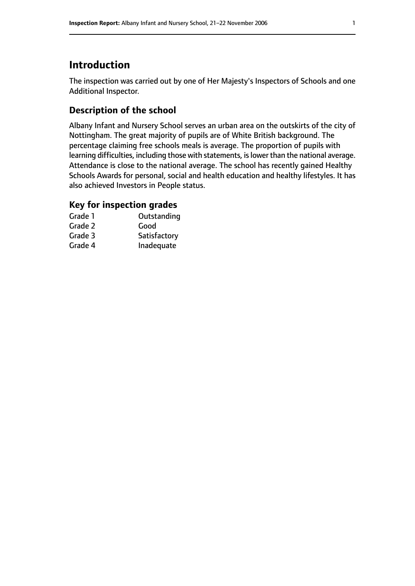## **Introduction**

The inspection was carried out by one of Her Majesty's Inspectors of Schools and one Additional Inspector.

## **Description of the school**

Albany Infant and Nursery School serves an urban area on the outskirts of the city of Nottingham. The great majority of pupils are of White British background. The percentage claiming free schools meals is average. The proportion of pupils with learning difficulties, including those with statements, is lower than the national average. Attendance is close to the national average. The school has recently gained Healthy Schools Awards for personal, social and health education and healthy lifestyles. It has also achieved Investors in People status.

#### **Key for inspection grades**

| Grade 1 | Outstanding  |
|---------|--------------|
| Grade 2 | Good         |
| Grade 3 | Satisfactory |
| Grade 4 | Inadequate   |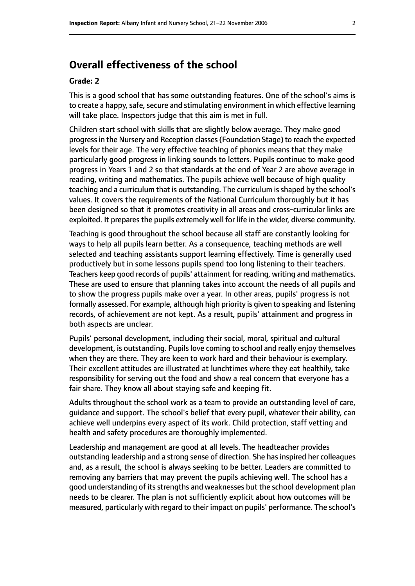## **Overall effectiveness of the school**

#### **Grade: 2**

This is a good school that has some outstanding features. One of the school's aims is to create a happy, safe, secure and stimulating environment in which effective learning will take place. Inspectors judge that this aim is met in full.

Children start school with skills that are slightly below average. They make good progressin the Nursery and Reception classes(Foundation Stage) to reach the expected levels for their age. The very effective teaching of phonics means that they make particularly good progress in linking sounds to letters. Pupils continue to make good progress in Years 1 and 2 so that standards at the end of Year 2 are above average in reading, writing and mathematics. The pupils achieve well because of high quality teaching and a curriculum that is outstanding. The curriculum is shaped by the school's values. It covers the requirements of the National Curriculum thoroughly but it has been designed so that it promotes creativity in all areas and cross-curricular links are exploited. It prepares the pupils extremely well for life in the wider, diverse community.

Teaching is good throughout the school because all staff are constantly looking for ways to help all pupils learn better. As a consequence, teaching methods are well selected and teaching assistants support learning effectively. Time is generally used productively but in some lessons pupils spend too long listening to their teachers. Teachers keep good records of pupils' attainment for reading, writing and mathematics. These are used to ensure that planning takes into account the needs of all pupils and to show the progress pupils make over a year. In other areas, pupils' progress is not formally assessed. For example, although high priority is given to speaking and listening records, of achievement are not kept. As a result, pupils' attainment and progress in both aspects are unclear.

Pupils' personal development, including their social, moral, spiritual and cultural development, is outstanding. Pupils love coming to school and really enjoy themselves when they are there. They are keen to work hard and their behaviour is exemplary. Their excellent attitudes are illustrated at lunchtimes where they eat healthily, take responsibility for serving out the food and show a real concern that everyone has a fair share. They know all about staying safe and keeping fit.

Adults throughout the school work as a team to provide an outstanding level of care, guidance and support. The school's belief that every pupil, whatever their ability, can achieve well underpins every aspect of its work. Child protection, staff vetting and health and safety procedures are thoroughly implemented.

Leadership and management are good at all levels. The headteacher provides outstanding leadership and a strong sense of direction. She has inspired her colleagues and, as a result, the school is always seeking to be better. Leaders are committed to removing any barriers that may prevent the pupils achieving well. The school has a good understanding of its strengths and weaknesses but the school development plan needs to be clearer. The plan is not sufficiently explicit about how outcomes will be measured, particularly with regard to their impact on pupils' performance. The school's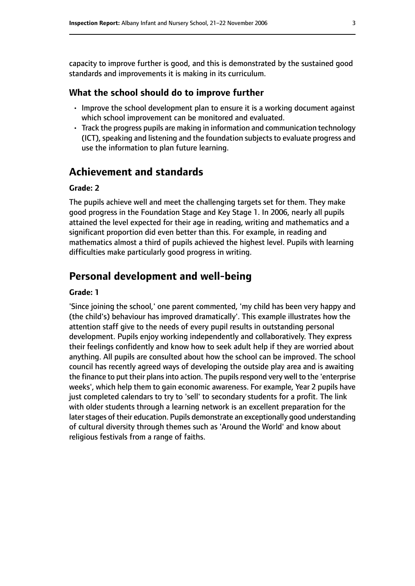capacity to improve further is good, and this is demonstrated by the sustained good standards and improvements it is making in its curriculum.

#### **What the school should do to improve further**

- Improve the school development plan to ensure it is a working document against which school improvement can be monitored and evaluated.
- Track the progress pupils are making in information and communication technology (ICT), speaking and listening and the foundation subjects to evaluate progress and use the information to plan future learning.

## **Achievement and standards**

#### **Grade: 2**

The pupils achieve well and meet the challenging targets set for them. They make good progress in the Foundation Stage and Key Stage 1. In 2006, nearly all pupils attained the level expected for their age in reading, writing and mathematics and a significant proportion did even better than this. For example, in reading and mathematics almost a third of pupils achieved the highest level. Pupils with learning difficulties make particularly good progress in writing.

## **Personal development and well-being**

#### **Grade: 1**

'Since joining the school,' one parent commented, 'my child has been very happy and (the child's) behaviour has improved dramatically'. This example illustrates how the attention staff give to the needs of every pupil results in outstanding personal development. Pupils enjoy working independently and collaboratively. They express their feelings confidently and know how to seek adult help if they are worried about anything. All pupils are consulted about how the school can be improved. The school council has recently agreed ways of developing the outside play area and is awaiting the finance to put their plans into action. The pupils respond very well to the 'enterprise weeks', which help them to gain economic awareness. For example, Year 2 pupils have just completed calendars to try to 'sell' to secondary students for a profit. The link with older students through a learning network is an excellent preparation for the later stages of their education. Pupils demonstrate an exceptionally good understanding of cultural diversity through themes such as 'Around the World' and know about religious festivals from a range of faiths.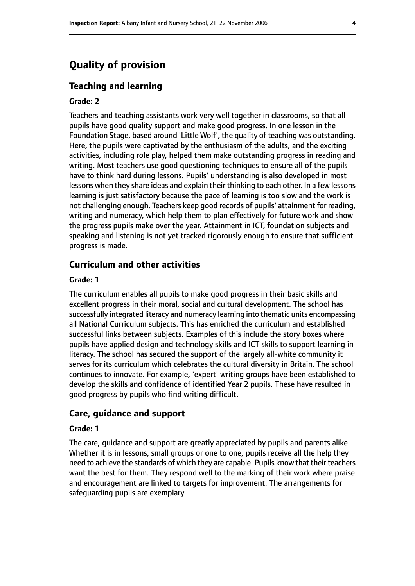## **Quality of provision**

#### **Teaching and learning**

#### **Grade: 2**

Teachers and teaching assistants work very well together in classrooms, so that all pupils have good quality support and make good progress. In one lesson in the Foundation Stage, based around 'Little Wolf', the quality of teaching was outstanding. Here, the pupils were captivated by the enthusiasm of the adults, and the exciting activities, including role play, helped them make outstanding progress in reading and writing. Most teachers use good questioning techniques to ensure all of the pupils have to think hard during lessons. Pupils' understanding is also developed in most lessons when they share ideas and explain their thinking to each other. In a few lessons learning is just satisfactory because the pace of learning is too slow and the work is not challenging enough. Teachers keep good records of pupils' attainment for reading, writing and numeracy, which help them to plan effectively for future work and show the progress pupils make over the year. Attainment in ICT, foundation subjects and speaking and listening is not yet tracked rigorously enough to ensure that sufficient progress is made.

#### **Curriculum and other activities**

#### **Grade: 1**

The curriculum enables all pupils to make good progress in their basic skills and excellent progress in their moral, social and cultural development. The school has successfully integrated literacy and numeracy learning into thematic units encompassing all National Curriculum subjects. This has enriched the curriculum and established successful links between subjects. Examples of this include the story boxes where pupils have applied design and technology skills and ICT skills to support learning in literacy. The school has secured the support of the largely all-white community it serves for its curriculum which celebrates the cultural diversity in Britain. The school continues to innovate. For example, 'expert' writing groups have been established to develop the skills and confidence of identified Year 2 pupils. These have resulted in good progress by pupils who find writing difficult.

#### **Care, guidance and support**

#### **Grade: 1**

The care, guidance and support are greatly appreciated by pupils and parents alike. Whether it is in lessons, small groups or one to one, pupils receive all the help they need to achieve the standards of which they are capable. Pupils know that their teachers want the best for them. They respond well to the marking of their work where praise and encouragement are linked to targets for improvement. The arrangements for safeguarding pupils are exemplary.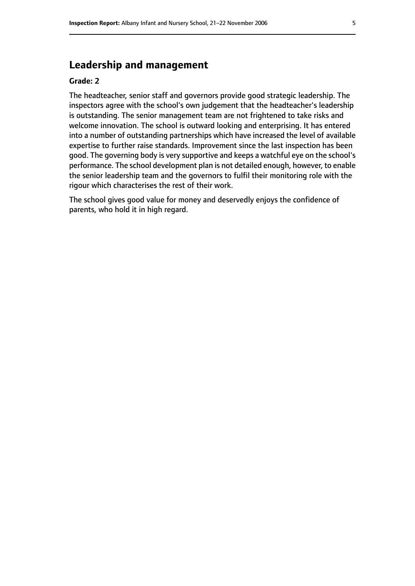## **Leadership and management**

#### **Grade: 2**

The headteacher, senior staff and governors provide good strategic leadership. The inspectors agree with the school's own judgement that the headteacher's leadership is outstanding. The senior management team are not frightened to take risks and welcome innovation. The school is outward looking and enterprising. It has entered into a number of outstanding partnerships which have increased the level of available expertise to further raise standards. Improvement since the last inspection has been good. The governing body is very supportive and keeps a watchful eye on the school's performance. The school development plan is not detailed enough, however, to enable the senior leadership team and the governors to fulfil their monitoring role with the rigour which characterises the rest of their work.

The school gives good value for money and deservedly enjoys the confidence of parents, who hold it in high regard.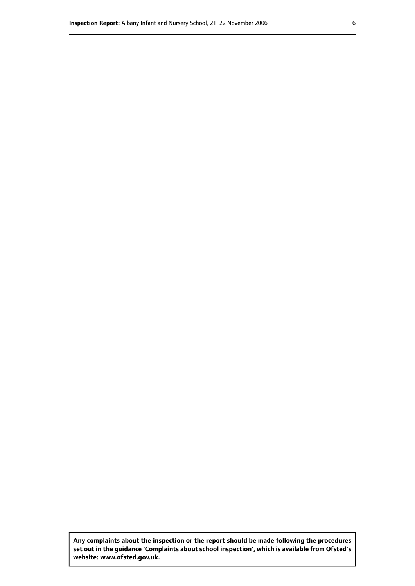**Any complaints about the inspection or the report should be made following the procedures set out inthe guidance 'Complaints about school inspection', whichis available from Ofsted's website: www.ofsted.gov.uk.**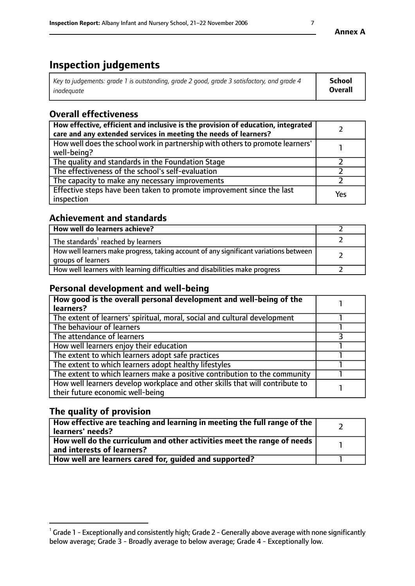## **Inspection judgements**

| Key to judgements: grade 1 is outstanding, grade 2 good, grade 3 satisfactory, and grade 4 | School         |
|--------------------------------------------------------------------------------------------|----------------|
| inadeauate                                                                                 | <b>Overall</b> |

## **Overall effectiveness**

| How effective, efficient and inclusive is the provision of education, integrated<br>care and any extended services in meeting the needs of learners? |     |
|------------------------------------------------------------------------------------------------------------------------------------------------------|-----|
| How well does the school work in partnership with others to promote learners'<br>well-being?                                                         |     |
| The quality and standards in the Foundation Stage                                                                                                    |     |
| The effectiveness of the school's self-evaluation                                                                                                    |     |
| The capacity to make any necessary improvements                                                                                                      |     |
| Effective steps have been taken to promote improvement since the last<br>inspection                                                                  | Yes |

## **Achievement and standards**

| How well do learners achieve?                                                                               |  |
|-------------------------------------------------------------------------------------------------------------|--|
| The standards <sup>1</sup> reached by learners                                                              |  |
| How well learners make progress, taking account of any significant variations between<br>groups of learners |  |
| How well learners with learning difficulties and disabilities make progress                                 |  |

## **Personal development and well-being**

| How good is the overall personal development and well-being of the<br>learners?                                  |  |
|------------------------------------------------------------------------------------------------------------------|--|
| The extent of learners' spiritual, moral, social and cultural development                                        |  |
| The behaviour of learners                                                                                        |  |
| The attendance of learners                                                                                       |  |
| How well learners enjoy their education                                                                          |  |
| The extent to which learners adopt safe practices                                                                |  |
| The extent to which learners adopt healthy lifestyles                                                            |  |
| The extent to which learners make a positive contribution to the community                                       |  |
| How well learners develop workplace and other skills that will contribute to<br>their future economic well-being |  |

## **The quality of provision**

| How effective are teaching and learning in meeting the full range of the<br>  learners' needs?                      |  |
|---------------------------------------------------------------------------------------------------------------------|--|
| $\mid$ How well do the curriculum and other activities meet the range of needs<br>$\mid$ and interests of learners? |  |
| How well are learners cared for, guided and supported?                                                              |  |

 $^1$  Grade 1 - Exceptionally and consistently high; Grade 2 - Generally above average with none significantly below average; Grade 3 - Broadly average to below average; Grade 4 - Exceptionally low.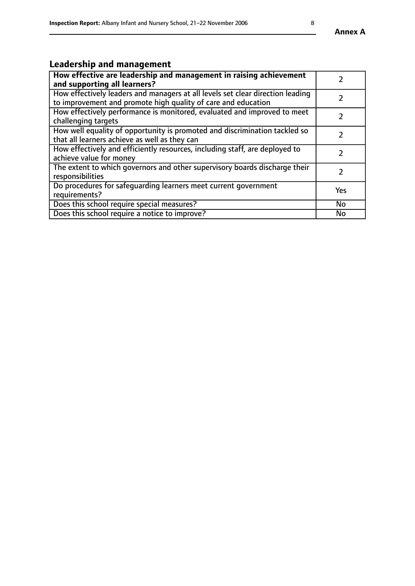## **Leadership and management**

| How effective are leadership and management in raising achievement<br>and supporting all learners?                                              |               |
|-------------------------------------------------------------------------------------------------------------------------------------------------|---------------|
| How effectively leaders and managers at all levels set clear direction leading<br>to improvement and promote high quality of care and education |               |
| How effectively performance is monitored, evaluated and improved to meet<br>challenging targets                                                 | $\mathcal{L}$ |
| How well equality of opportunity is promoted and discrimination tackled so<br>that all learners achieve as well as they can                     |               |
| How effectively and efficiently resources, including staff, are deployed to<br>achieve value for money                                          | $\mathcal{P}$ |
| The extent to which governors and other supervisory boards discharge their<br>responsibilities                                                  |               |
| Do procedures for safequarding learners meet current government<br>requirements?                                                                | Yes           |
| Does this school require special measures?                                                                                                      | No            |
| Does this school require a notice to improve?                                                                                                   | <b>No</b>     |